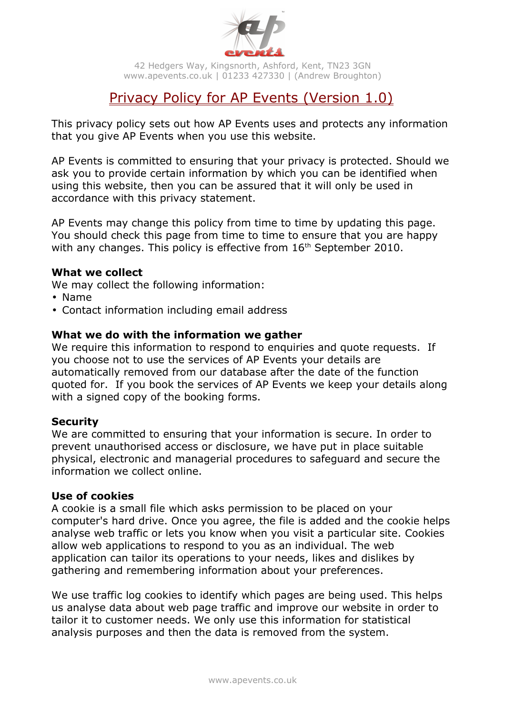

42 Hedgers Way, Kingsnorth, Ashford, Kent, TN23 3GN www.apevents.co.uk | 01233 427330 | (Andrew Broughton)

# Privacy Policy for AP Events (Version 1.0)

This privacy policy sets out how AP Events uses and protects any information that you give AP Events when you use this website.

AP Events is committed to ensuring that your privacy is protected. Should we ask you to provide certain information by which you can be identified when using this website, then you can be assured that it will only be used in accordance with this privacy statement.

AP Events may change this policy from time to time by updating this page. You should check this page from time to time to ensure that you are happy with any changes. This policy is effective from  $16<sup>th</sup>$  September 2010.

## **What we collect**

We may collect the following information:

- Name
- Contact information including email address

## **What we do with the information we gather**

We require this information to respond to enquiries and quote requests. If you choose not to use the services of AP Events your details are automatically removed from our database after the date of the function quoted for. If you book the services of AP Events we keep your details along with a signed copy of the booking forms.

#### **Security**

We are committed to ensuring that your information is secure. In order to prevent unauthorised access or disclosure, we have put in place suitable physical, electronic and managerial procedures to safeguard and secure the information we collect online.

#### **Use of cookies**

A cookie is a small file which asks permission to be placed on your computer's hard drive. Once you agree, the file is added and the cookie helps analyse web traffic or lets you know when you visit a particular site. Cookies allow web applications to respond to you as an individual. The web application can tailor its operations to your needs, likes and dislikes by gathering and remembering information about your preferences.

We use traffic log cookies to identify which pages are being used. This helps us analyse data about web page traffic and improve our website in order to tailor it to customer needs. We only use this information for statistical analysis purposes and then the data is removed from the system.